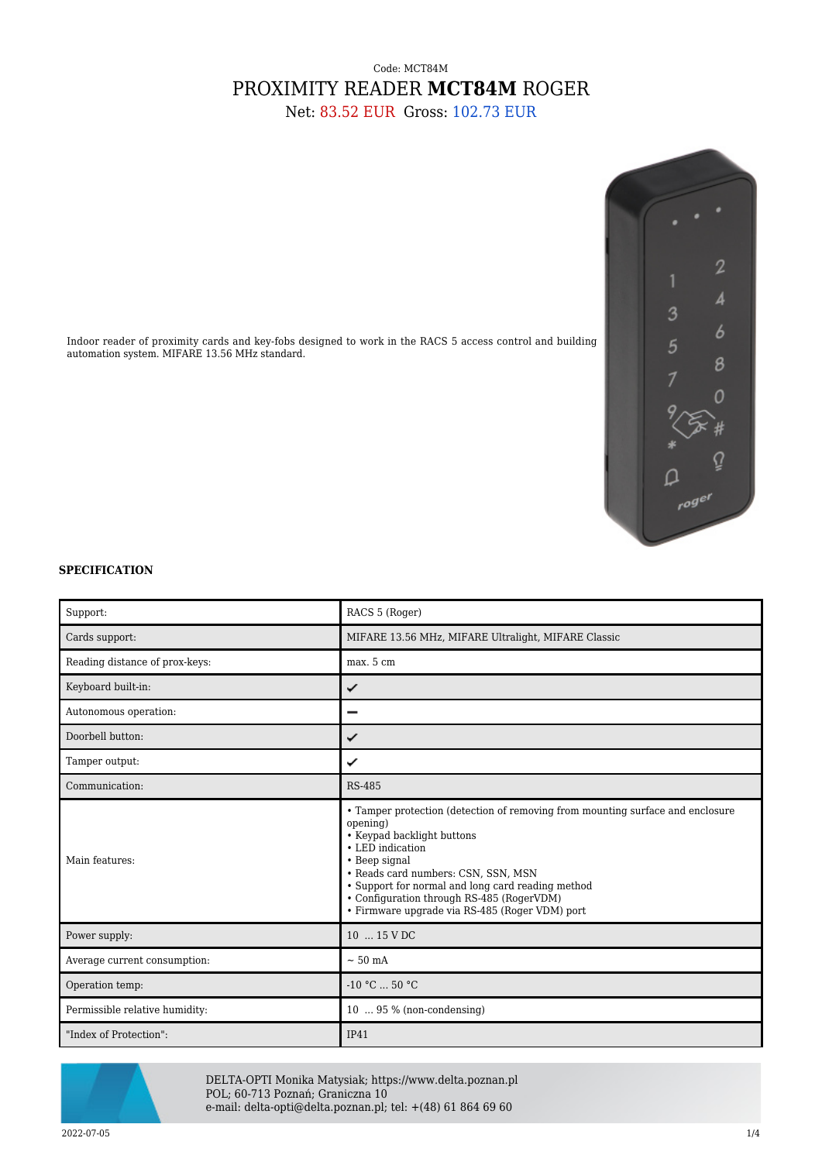## Code: MCT84M PROXIMITY READER **MCT84M** ROGER

Net: 83.52 EUR Gross: 102.73 EUR



## **SPECIFICATION**

automation system. MIFARE 13.56 MHz standard.

| Support:                       | RACS 5 (Roger)                                                                                                                                                                                                                                                                                                                                           |
|--------------------------------|----------------------------------------------------------------------------------------------------------------------------------------------------------------------------------------------------------------------------------------------------------------------------------------------------------------------------------------------------------|
| Cards support:                 | MIFARE 13.56 MHz, MIFARE Ultralight, MIFARE Classic                                                                                                                                                                                                                                                                                                      |
| Reading distance of prox-keys: | max. 5 cm                                                                                                                                                                                                                                                                                                                                                |
| Keyboard built-in:             | ✓                                                                                                                                                                                                                                                                                                                                                        |
| Autonomous operation:          | -                                                                                                                                                                                                                                                                                                                                                        |
| Doorbell button:               | ✓                                                                                                                                                                                                                                                                                                                                                        |
| Tamper output:                 | ✓                                                                                                                                                                                                                                                                                                                                                        |
| Communication:                 | <b>RS-485</b>                                                                                                                                                                                                                                                                                                                                            |
| Main features:                 | • Tamper protection (detection of removing from mounting surface and enclosure<br>opening)<br>• Keypad backlight buttons<br>• LED indication<br>• Beep signal<br>• Reads card numbers: CSN, SSN, MSN<br>• Support for normal and long card reading method<br>• Configuration through RS-485 (RogerVDM)<br>· Firmware upgrade via RS-485 (Roger VDM) port |
| Power supply:                  | 10  15 V DC                                                                                                                                                                                                                                                                                                                                              |
| Average current consumption:   | $\sim$ 50 mA                                                                                                                                                                                                                                                                                                                                             |
| Operation temp:                | $-10 °C$ 50 °C                                                                                                                                                                                                                                                                                                                                           |
| Permissible relative humidity: | $10 \ldots 95 \%$ (non-condensing)                                                                                                                                                                                                                                                                                                                       |
| "Index of Protection":         | IP41                                                                                                                                                                                                                                                                                                                                                     |



DELTA-OPTI Monika Matysiak; https://www.delta.poznan.pl POL; 60-713 Poznań; Graniczna 10 e-mail: delta-opti@delta.poznan.pl; tel: +(48) 61 864 69 60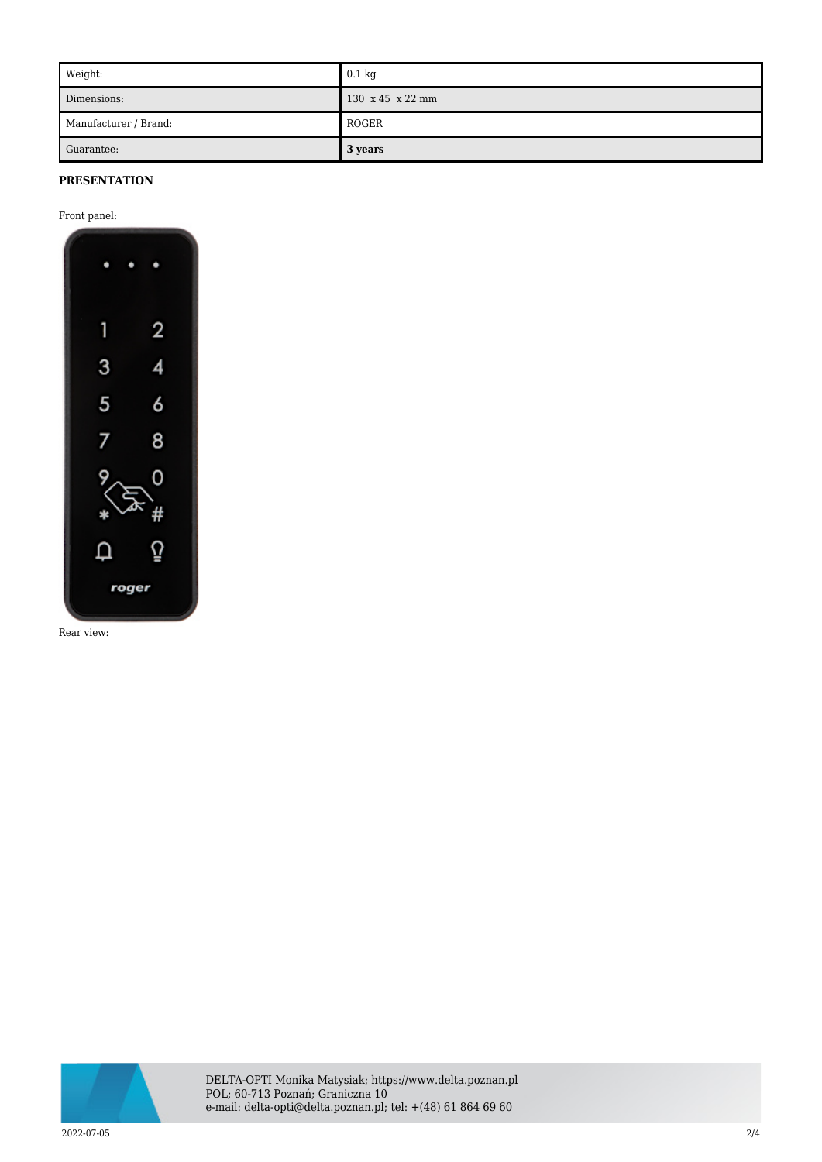| Weight:               | $0.1 \text{ kg}$ |
|-----------------------|------------------|
| Dimensions:           | 130 x 45 x 22 mm |
| Manufacturer / Brand: | ROGER            |
| Guarantee:            | 3 years          |

## **PRESENTATION**

Front panel:



Rear view:



DELTA-OPTI Monika Matysiak; https://www.delta.poznan.pl POL; 60-713 Poznań; Graniczna 10 e-mail: delta-opti@delta.poznan.pl; tel: +(48) 61 864 69 60

2022-07-05 2/4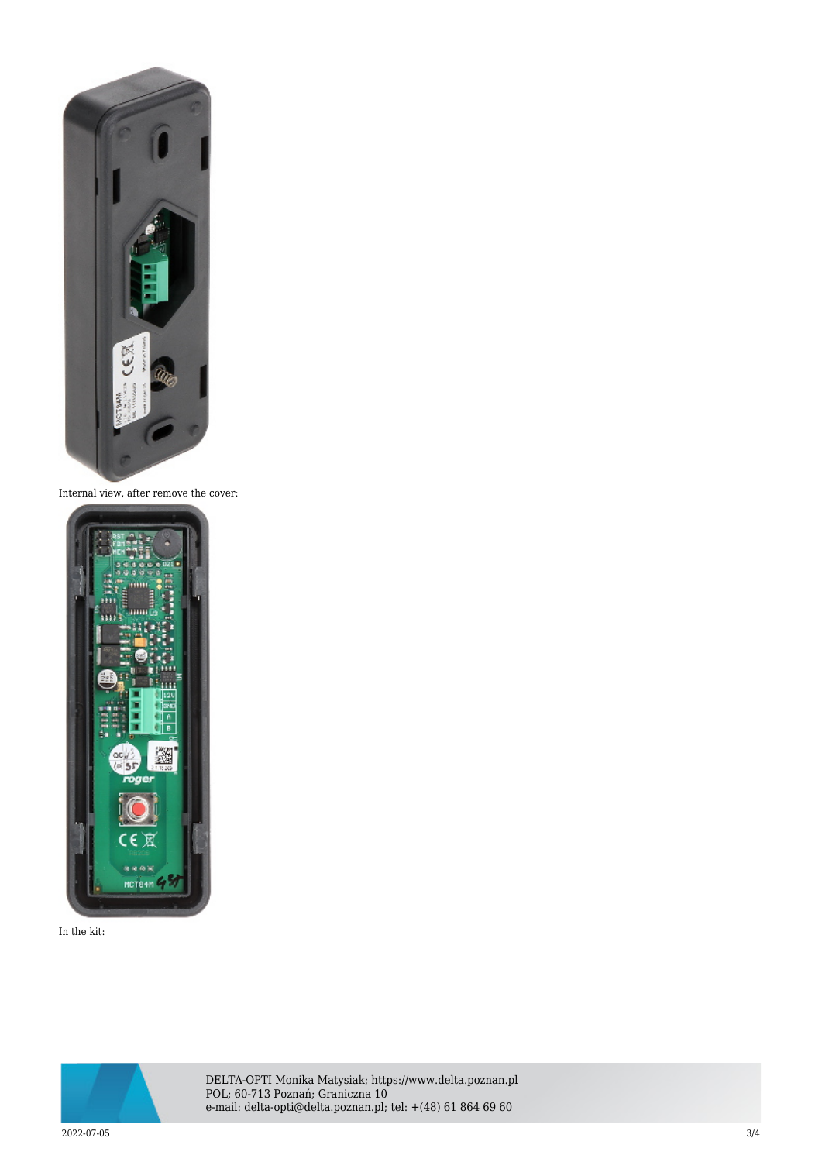

Internal view, after remove the cover:



In the kit:



DELTA-OPTI Monika Matysiak; https://www.delta.poznan.pl POL; 60-713 Poznań; Graniczna 10 e-mail: delta-opti@delta.poznan.pl; tel: +(48) 61 864 69 60

2022-07-05 3/4